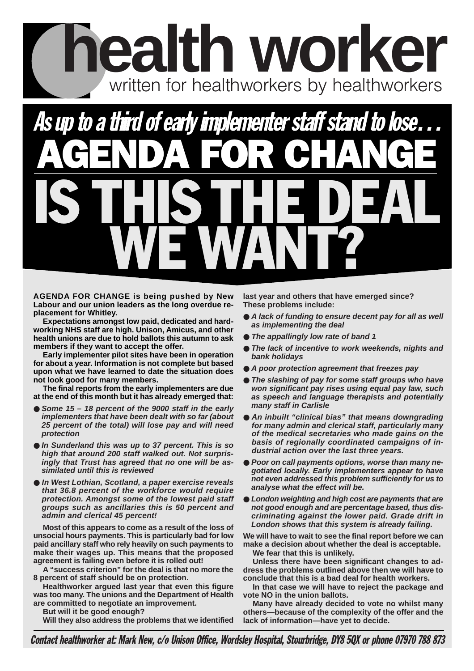## **health worker** written for healthworkers by healthworkers

## AGENDA FOR CHANGE As up to a third of early implementer staff stand to lose... IS THIS THE DEAL WE WANT?

**AGENDA FOR CHANGE is being pushed by New Labour and our union leaders as the long overdue replacement for Whitley.** 

**Expectations amongst low paid, dedicated and hardworking NHS staff are high. Unison, Amicus, and other health unions are due to hold ballots this autumn to ask members if they want to accept the offer.** 

**Early implementer pilot sites have been in operation for about a year. Information is not complete but based upon what we have learned to date the situation does not look good for many members.** 

**The final reports from the early implementers are due at the end of this month but it has already emerged that:**

- **Some 15 18 percent of the 9000 staff in the early implementers that have been dealt with so far (about 25 percent of the total) will lose pay and will need protection**
- **In Sunderland this was up to 37 percent. This is so high that around 200 staff walked out. Not surprisingly that Trust has agreed that no one will be assimilated until this is reviewed**
- **In West Lothian, Scotland, a paper exercise reveals that 36.8 percent of the workforce would require protection. Amongst some of the lowest paid staff groups such as ancillaries this is 50 percent and admin and clerical 45 percent!**

**Most of this appears to come as a result of the loss of unsocial hours payments. This is particularly bad for low paid ancillary staff who rely heavily on such payments to make their wages up. This means that the proposed agreement is failing even before it is rolled out!** 

**A "success criterion" for the deal is that no more the 8 percent of staff should be on protection.** 

**Healthworker argued last year that even this figure was too many. The unions and the Department of Health are committed to negotiate an improvement.** 

**But will it be good enough?** 

**Will they also address the problems that we identified**

**last year and others that have emerged since? These problems include:**

- A lack of funding to ensure decent pay for all as well **as implementing the deal**
- **The appallingly low rate of band 1**
- **The lack of incentive to work weekends, nights and bank holidays**
- A poor protection agreement that freezes pay
- **The slashing of pay for some staff groups who have won significant pay rises using equal pay law, such as speech and language therapists and potentially many staff in Carlisle**
- An inbuilt "clinical bias" that means downgrading **for many admin and clerical staff, particularly many of the medical secretaries who made gains on the basis of regionally coordinated campaigns of industrial action over the last three years.**
- **Poor on call payments options, worse than many negotiated locally. Early implementers appear to have not even addressed this problem sufficiently for us to analyse what the effect will be.**
- **London weighting and high cost are payments that are not good enough and are percentage based, thus discriminating against the lower paid. Grade drift in London shows that this system is already failing.**

**We will have to wait to see the final report before we can make a decision about whether the deal is acceptable. We fear that this is unlikely.** 

**Unless there have been significant changes to address the problems outlined above then we will have to conclude that this is a bad deal for health workers.** 

**In that case we will have to reject the package and vote NO in the union ballots.**

**Many have already decided to vote no whilst many others—because of the complexity of the offer and the lack of information—have yet to decide.**

Contact healthworker at: Mark New, c/o Unison Office, Wordsley Hospital, Stourbridge, DY8 5QX or phone 07970 788 873